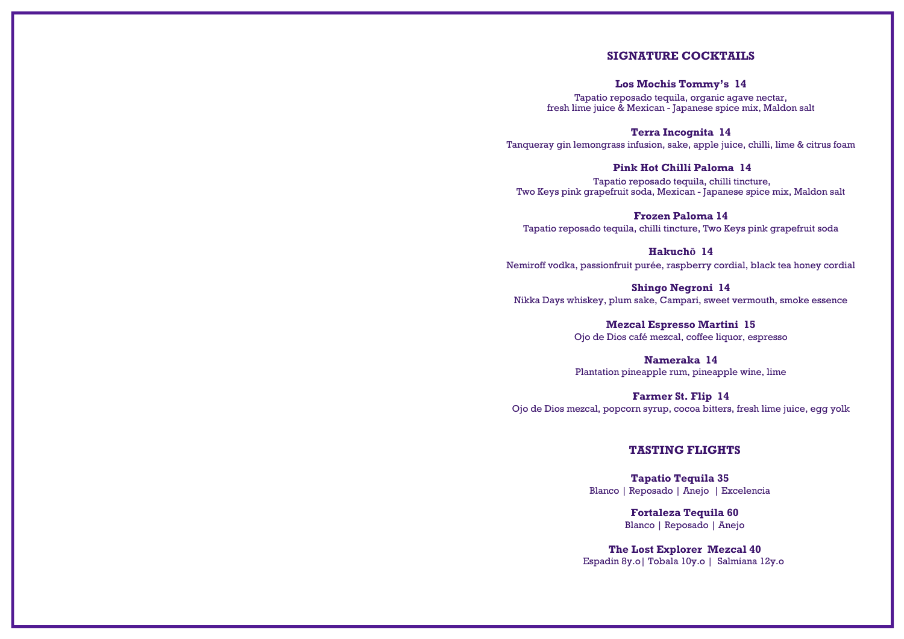## **SIGNATURE COCKTAILS**

## **Los Mochis Tommy's 14**

Tapatio reposado tequila, organic agave nectar, fresh lime juice & Mexican - Japanese spice mix, Maldon salt

#### **Terra Incognita 14**

Tanqueray gin lemongrass infusion, sake, apple juice, chilli, lime & citrus foam

## **Pink Hot Chilli Paloma 14**

Tapatio reposado tequila, chilli tincture, Two Keys pink grapefruit soda, Mexican - Japanese spice mix, Maldon salt

## **Frozen Paloma 14**

Tapatio reposado tequila, chilli tincture, Two Keys pink grapefruit soda

## **Hakuchō 14**

Nemiroff vodka, passionfruit purée, raspberry cordial, black tea honey cordial

## **Shingo Negroni 14**

Nikka Days whiskey, plum sake, Campari, sweet vermouth, smoke essence

## **Mezcal Espresso Martini 15**

Ojo de Dios café mezcal, coffee liquor, espresso

## **Nameraka 14**

Plantation pineapple rum, pineapple wine, lime

## **Farmer St. Flip 14**

Ojo de Dios mezcal, popcorn syrup, cocoa bitters, fresh lime juice, egg yolk

## **TASTING FLIGHTS**

**Tapatio Tequila 35** Blanco | Reposado | Anejo | Excelencia

> **Fortaleza Tequila 60** Blanco | Reposado | Anejo

**The Lost Explorer Mezcal 40** Espadin 8y.o| Tobala 10y.o | Salmiana 12y.o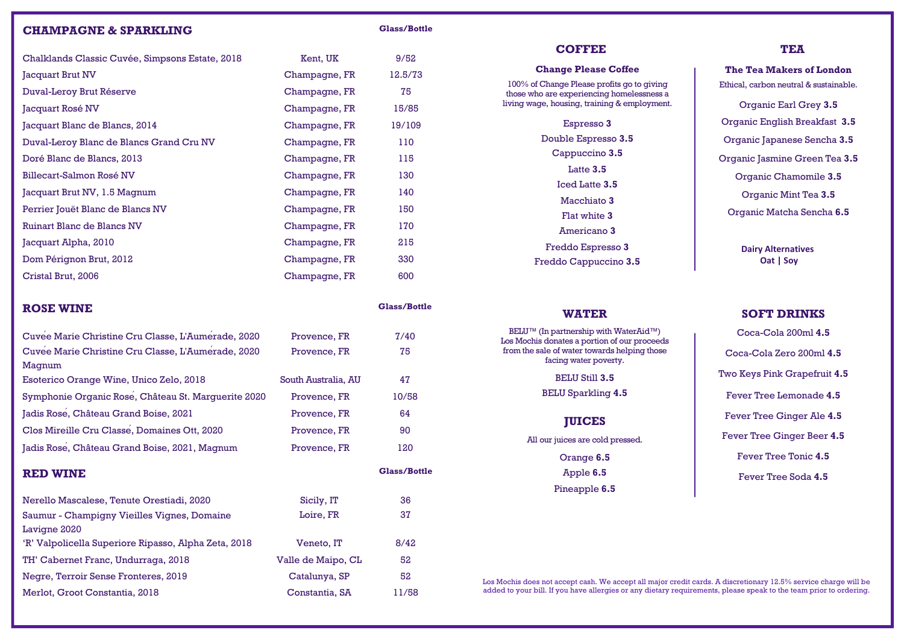## **CHAMPAGNE & SPARKLING Glass/Bottle**

| Chalklands Classic Cuvée, Simpsons Estate, 2018 | Kent, UK      | 9/52    |
|-------------------------------------------------|---------------|---------|
| Jacquart Brut NV                                | Champagne, FR | 12.5/73 |
| Duval-Leroy Brut Réserve                        | Champagne, FR | 75      |
| Jacquart Rosé NV                                | Champagne, FR | 15/85   |
| Jacquart Blanc de Blancs, 2014                  | Champagne, FR | 19/109  |
| Duval-Leroy Blanc de Blancs Grand Cru NV        | Champagne, FR | 110     |
| Doré Blanc de Blancs, 2013                      | Champagne, FR | 115     |
| Billecart-Salmon Rosé NV                        | Champagne, FR | 130     |
| Jacquart Brut NV, 1.5 Magnum                    | Champagne, FR | 140     |
| Perrier Jouët Blanc de Blancs NV                | Champagne, FR | 150     |
| Ruinart Blanc de Blancs NV                      | Champagne, FR | 170     |
| Jacquart Alpha, 2010                            | Champagne, FR | 215     |
| Dom Pérignon Brut, 2012                         | Champagne, FR | 330     |
| Cristal Brut, 2006                              | Champagne, FR | 600     |

## **ROSE WINE Glass/Bottle**

| Cuvee Marie Christine Cru Classe, L'Aumerade, 2020   | Provence, FR        | 7/40                |
|------------------------------------------------------|---------------------|---------------------|
| Cuvee Marie Christine Cru Classe, L'Aumerade, 2020   | Provence, FR        | 75                  |
| Magnum                                               |                     |                     |
| Esoterico Orange Wine, Unico Zelo, 2018              | South Australia, AU | 47                  |
| Symphonie Organic Rose, Château St. Marguerite 2020  | Provence, FR        | 10/58               |
| Jadis Rose, Château Grand Boise, 2021                | Provence, FR        | 64                  |
| Clos Mireille Cru Classe, Domaines Ott, 2020         | Provence, FR        | 90                  |
| Jadis Rose, Château Grand Boise, 2021, Magnum        | Provence, FR        | 120                 |
| <b>RED WINE</b>                                      |                     | <b>Glass/Bottle</b> |
| Nerello Mascalese, Tenute Orestiadi, 2020            | Sicily, IT          | 36                  |
| Saumur - Champigny Vieilles Vignes, Domaine          | Loire, FR           | 37                  |
| Lavigne 2020                                         |                     |                     |
| 'R' Valpolicella Superiore Ripasso, Alpha Zeta, 2018 | Veneto, IT          | 8/42                |
| TH' Cabernet Franc, Undurraga, 2018                  | Valle de Maipo, CL  | 52                  |
| Negre, Terroir Sense Fronteres, 2019                 | Catalunya, SP       | 52                  |
| Merlot, Groot Constantia, 2018                       |                     |                     |

## **COFFEE**

#### **Change Please Coffee**

100% of Change Please profits go to giving those who are experiencing homelessness a living wage, housing, training & employment.

> Espresso **3** Double Espresso **3.5** Cappuccino **3.5** Latte **3.5** Iced Latte **3.5** Macchiato **3** Flat white **3** Americano **3** Freddo Espresso **3** Freddo Cappuccino **3.5**

## **WATER**

BELU™ (In partnership with WaterAid™) Los Mochis donates a portion of our proceeds from the sale of water towards helping those facing water poverty.

#### BELU Still **3.5**

BELU Sparkling **4.5**

## **JUICES**

All our juices are cold pressed.

Orange **6.5** Apple **6.5** Pineapple **6.5**

**The Tea Makers of London** Ethical, carbon neutral & sustainable. Organic Earl Grey **3.5** Organic English Breakfast **3.5** Organic Japanese Sencha **3.5** Organic Jasmine Green Tea **3.5** Organic Chamomile **3.5** Organic Mint Tea **3.5** Organic Matcha Sencha **6.5**

> **Dairy Alternatives Oat | Soy**

## **SOFT DRINKS**

Coca-Cola 200ml **4.5** Coca-Cola Zero 200ml **4.5** Two Keys Pink Grapefruit **4.5** Fever Tree Lemonade **4.5** Fever Tree Ginger Ale **4.5** Fever Tree Ginger Beer **4.5** Fever Tree Tonic **4.5** Fever Tree Soda **4.5**

Los Mochis does not accept cash. We accept all major credit cards. A discretionary 12.5% service charge will be added to your bill. If you have allergies or any dietary requirements, please speak to the team prior to ordering.

**TEA**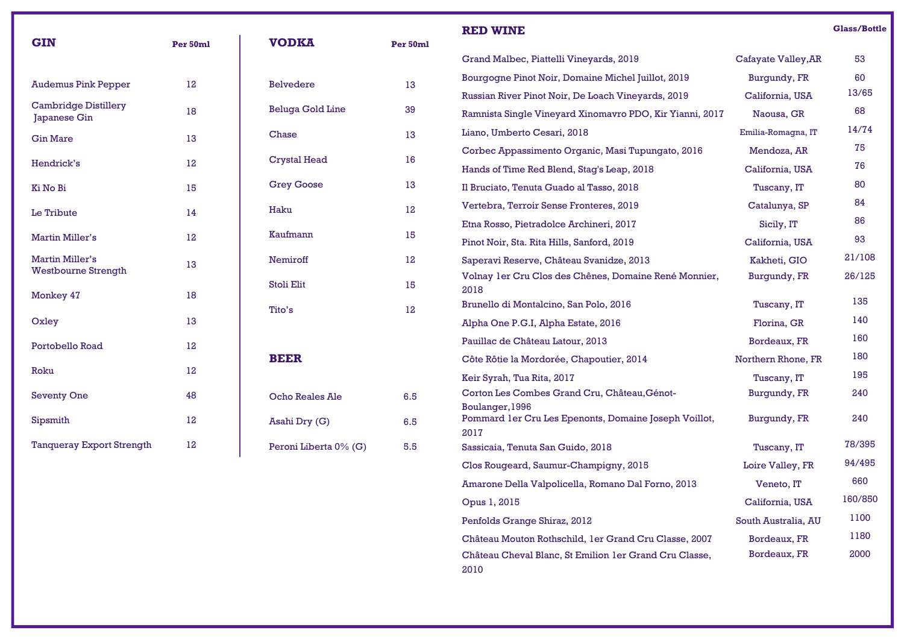| <b>GIN</b>                                  | Per 50ml | <b>VODKA</b>            | Per 50ml         | <b>RED WINE</b>                                                                  |                     | <b>Glass/Bottle</b> |
|---------------------------------------------|----------|-------------------------|------------------|----------------------------------------------------------------------------------|---------------------|---------------------|
|                                             |          |                         |                  | Grand Malbec, Piattelli Vineyards, 2019                                          | Cafayate Valley, AR | 53                  |
| <b>Audemus Pink Pepper</b>                  | 12       | <b>Belvedere</b>        | 13               | Bourgogne Pinot Noir, Domaine Michel Juillot, 2019                               | Burgundy, FR        | 60                  |
|                                             |          |                         |                  | Russian River Pinot Noir, De Loach Vineyards, 2019                               | California, USA     | 13/65               |
| <b>Cambridge Distillery</b><br>Japanese Gin | 18       | <b>Beluga Gold Line</b> | 39               | Ramnista Single Vineyard Xinomavro PDO, Kir Yianni, 2017                         | Naousa, GR          | 68                  |
| <b>Gin Mare</b>                             | 13       | Chase                   | 13               | Liano, Umberto Cesari, 2018                                                      | Emilia-Romagna, IT  | 14/74               |
|                                             |          | <b>Crystal Head</b>     | 16               | Corbec Appassimento Organic, Masi Tupungato, 2016                                | Mendoza, AR         | 75                  |
| Hendrick's                                  | 12       |                         |                  | Hands of Time Red Blend, Stag's Leap, 2018                                       | California, USA     | 76                  |
| Ki No Bi                                    | 15       | <b>Grey Goose</b>       | 13               | Il Bruciato, Tenuta Guado al Tasso, 2018                                         | Tuscany, IT         | 80                  |
| Le Tribute                                  | 14       | Haku                    | $12\phantom{.0}$ | Vertebra, Terroir Sense Fronteres, 2019                                          | Catalunya, SP       | 84                  |
|                                             |          |                         |                  | Etna Rosso, Pietradolce Archineri, 2017                                          | Sicily, IT          | 86                  |
| Martin Miller's                             | 12       | Kaufmann                | 15               | Pinot Noir, Sta. Rita Hills, Sanford, 2019                                       | California, USA     | 93                  |
| <b>Martin Miller's</b>                      | 13       | Nemiroff                | 12               | Saperavi Reserve, Château Svanidze, 2013                                         | Kakheti, GIO        | 21/108              |
| <b>Westbourne Strength</b>                  |          | Stoli Elit              | 15               | Volnay 1 er Cru Clos des Chênes, Domaine René Monnier,<br>2018                   | Burgundy, FR        | 26/125              |
| Monkey 47                                   | 18       | Tito's                  | 12               | Brunello di Montalcino, San Polo, 2016                                           | Tuscany, IT         | 135                 |
| Oxley                                       | 13       |                         |                  | Alpha One P.G.I, Alpha Estate, 2016                                              | Florina, GR         | 140                 |
| Portobello Road                             | 12       |                         |                  | Pauillac de Château Latour, 2013                                                 | Bordeaux, FR        | 160                 |
|                                             |          | <b>BEER</b>             |                  | Côte Rôtie la Mordorée, Chapoutier, 2014                                         | Northern Rhone, FR  | 180                 |
| Roku                                        | 12       |                         |                  | Keir Syrah, Tua Rita, 2017                                                       | Tuscany, IT         | 195                 |
| Seventy One                                 | 48       | <b>Ocho Reales Ale</b>  | 6.5              | Corton Les Combes Grand Cru, Château, Génot-                                     | Burgundy, FR        | 240                 |
| Sipsmith                                    | 12       | Asahi Dry (G)           | 6.5              | Boulanger, 1996<br>Pommard 1er Cru Les Epenonts, Domaine Joseph Voillot,<br>2017 | Burgundy, FR        | 240                 |
| <b>Tanqueray Export Strength</b>            | 12       | Peroni Liberta 0% (G)   | 5.5              | Sassicaia, Tenuta San Guido, 2018                                                | Tuscany, IT         | 78/395              |
|                                             |          |                         |                  | Clos Rougeard, Saumur-Champigny, 2015                                            | Loire Valley, FR    | 94/495              |
|                                             |          |                         |                  | Amarone Della Valpolicella, Romano Dal Forno, 2013                               | Veneto, IT          | 660                 |
|                                             |          |                         |                  | Opus 1, 2015                                                                     | California, USA     | 160/850             |
|                                             |          |                         |                  | Penfolds Grange Shiraz, 2012                                                     | South Australia, AU | 1100                |
|                                             |          |                         |                  | Château Mouton Rothschild, 1er Grand Cru Classe, 2007                            | Bordeaux, FR        | 1180                |
|                                             |          |                         |                  | Château Cheval Blanc, St Emilion 1 er Grand Cru Classe,                          | Bordeaux, FR        | 2000                |

2010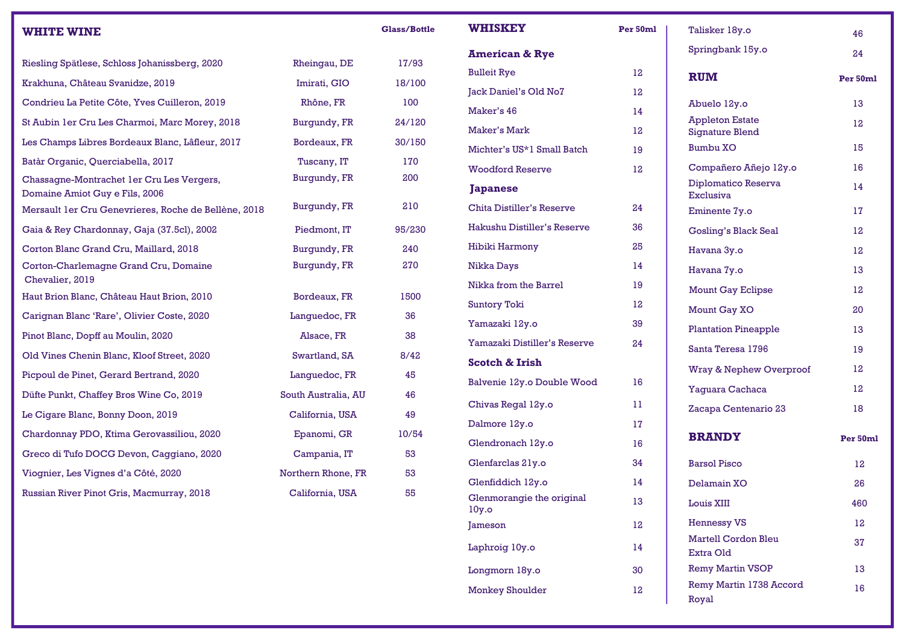| <b>WHITE WINE</b>                                                           |                     | <b>Glass/Bottle</b> |
|-----------------------------------------------------------------------------|---------------------|---------------------|
| Riesling Spätlese, Schloss Johanissberg, 2020                               | Rheingau, DE        | 17/93               |
| Krakhuna, Château Svanidze, 2019                                            | Imirati, GIO        | 18/100              |
| Condrieu La Petite Côte, Yves Cuilleron, 2019                               | Rhône, FR           | 100                 |
| St Aubin 1 er Cru Les Charmoi, Marc Morey, 2018                             | Burgundy, FR        | 24/120              |
| Les Champs Libres Bordeaux Blanc, Lâfleur, 2017                             | Bordeaux, FR        | 30/150              |
| Batàr Organic, Querciabella, 2017                                           | Tuscany, IT         | 170                 |
| Chassagne-Montrachet 1er Cru Les Vergers,<br>Domaine Amiot Guy e Fils, 2006 | Burgundy, FR        | 200                 |
| Mersault 1er Cru Genevrieres, Roche de Bellène, 2018                        | Burgundy, FR        | 210                 |
| Gaia & Rey Chardonnay, Gaja (37.5cl), 2002                                  | Piedmont, IT        | 95/230              |
| Corton Blanc Grand Cru, Maillard, 2018                                      | Burgundy, FR        | 240                 |
| Corton-Charlemagne Grand Cru, Domaine<br>Chevalier, 2019                    | Burgundy, FR        | 270                 |
| Haut Brion Blanc, Château Haut Brion, 2010                                  | Bordeaux, FR        | 1500                |
| Carignan Blanc 'Rare', Olivier Coste, 2020                                  | Languedoc, FR       | 36                  |
| Pinot Blanc, Dopff au Moulin, 2020                                          | Alsace, FR          | 38                  |
| Old Vines Chenin Blanc, Kloof Street, 2020                                  | Swartland, SA       | 8/42                |
| Picpoul de Pinet, Gerard Bertrand, 2020                                     | Languedoc, FR       | 45                  |
| Düfte Punkt, Chaffey Bros Wine Co, 2019                                     | South Australia, AU | 46                  |
| Le Cigare Blanc, Bonny Doon, 2019                                           | California, USA     | 49                  |
| Chardonnay PDO, Ktima Gerovassiliou, 2020                                   | Epanomi, GR         | 10/54               |
| Greco di Tufo DOCG Devon, Caggiano, 2020                                    | Campania, IT        | 53                  |
| Viognier, Les Vignes d'a Côté, 2020                                         | Northern Rhone, FR  | 53                  |
| Russian River Pinot Gris, Macmurray, 2018                                   | California, USA     | 55                  |

| <b>WHISKEY</b>                     | Per 50ml |  |
|------------------------------------|----------|--|
| <b>American &amp; Rye</b>          |          |  |
| <b>Bulleit Rye</b>                 | 12       |  |
| Jack Daniel's Old No7              | 12       |  |
| Maker's 46                         | 14       |  |
| <b>Maker's Mark</b>                | 12       |  |
| Michter's US*1 Small Batch         | 19       |  |
| <b>Woodford Reserve</b>            | 12       |  |
| <b>Japanese</b>                    |          |  |
| Chita Distiller's Reserve          | 24       |  |
| Hakushu Distiller's Reserve        | 36       |  |
| Hibiki Harmony                     | 25       |  |
| Nikka Days                         | 14       |  |
| Nikka from the Barrel              | 19       |  |
| <b>Suntory Toki</b>                | 12       |  |
| Yamazaki 12y.o                     | 39       |  |
| Yamazaki Distiller's Reserve       | 24       |  |
| <b>Scotch &amp; Irish</b>          |          |  |
| Balvenie 12y.o Double Wood         | 16       |  |
| Chivas Regal 12y.o                 | 11       |  |
| Dalmore 12y.o                      | 17       |  |
| Glendronach 12y.o                  | 16       |  |
| Glenfarclas 21y.o                  | 34       |  |
| Glenfiddich 12y.o                  | 14       |  |
| Glenmorangie the original<br>10y.o | 13       |  |
| Jameson                            | 12       |  |
| Laphroig 10y.o                     | 14       |  |
| Longmorn 18y.o                     | 30       |  |
| <b>Monkey Shoulder</b>             | 12       |  |

| Talisker 18y.o                                   | 46       |
|--------------------------------------------------|----------|
| Springbank 15y.o                                 | 24       |
| <b>RUM</b>                                       | Per 50ml |
| Abuelo 12y.o                                     | 13       |
| <b>Appleton Estate</b><br><b>Signature Blend</b> | 12       |
| <b>Bumbu XO</b>                                  | 15       |
| Compañero Añejo 12y.o                            | 16       |
| Diplomatico Reserva<br>Exclusiva                 | 14       |
| Eminente 7y.o                                    | 17       |
| <b>Gosling's Black Seal</b>                      | 12       |
| Havana 3y.o                                      | 12       |
| Havana 7y.o                                      | 13       |
| <b>Mount Gay Eclipse</b>                         | 12       |
| Mount Gay XO                                     | 20       |
| <b>Plantation Pineapple</b>                      | 13       |
| Santa Teresa 1796                                | 19       |
| <b>Wray &amp; Nephew Overproof</b>               | 12       |
| Yaguara Cachaca                                  | 12       |
| Zacapa Centenario 23                             | 18       |
| <b>BRANDY</b>                                    | Per 50ml |
| <b>Barsol Pisco</b>                              | 12       |
| Delamain XO                                      | 26       |
| <b>Louis XIII</b>                                | 460      |
| <b>Hennessy VS</b>                               | 12       |
| <b>Martell Cordon Bleu</b><br>Extra Old          | 37       |
| <b>Remy Martin VSOP</b>                          | 13       |
| Remy Martin 1738 Accord<br>Royal                 | 16       |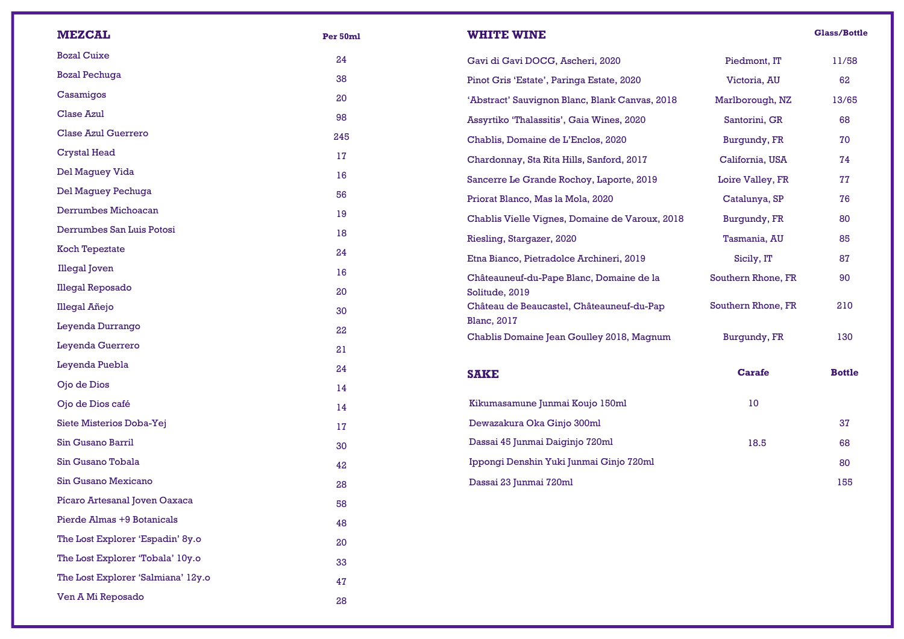| <b>MEZCAL</b>                      | Per 50ml | <b>WHITE WINE</b>                                          |                    | <b>Glass/Bottle</b> |
|------------------------------------|----------|------------------------------------------------------------|--------------------|---------------------|
| <b>Bozal Cuixe</b>                 | 24       | Gavi di Gavi DOCG, Ascheri, 2020                           | Piedmont, IT       | 11/58               |
| <b>Bozal Pechuga</b>               | 38       | Pinot Gris 'Estate', Paringa Estate, 2020                  | Victoria, AU       | 62                  |
| Casamigos                          | 20       | 'Abstract' Sauvignon Blanc, Blank Canvas, 2018             | Marlborough, NZ    | 13/65               |
| Clase Azul                         | 98       | Assyrtiko 'Thalassitis', Gaia Wines, 2020                  | Santorini, GR      | 68                  |
| <b>Clase Azul Guerrero</b>         | 245      | Chablis, Domaine de L'Enclos, 2020                         | Burgundy, FR       | 70                  |
| <b>Crystal Head</b>                | 17       | Chardonnay, Sta Rita Hills, Sanford, 2017                  | California, USA    | 74                  |
| Del Maguey Vida                    | 16       | Sancerre Le Grande Rochoy, Laporte, 2019                   | Loire Valley, FR   | 77                  |
| Del Maguey Pechuga                 | 56       | Priorat Blanco, Mas la Mola, 2020                          | Catalunya, SP      | 76                  |
| Derrumbes Michoacan                | 19       | Chablis Vielle Vignes, Domaine de Varoux, 2018             | Burgundy, FR       | 80                  |
| Derrumbes San Luis Potosi          | 18       | Riesling, Stargazer, 2020                                  | Tasmania, AU       | 85                  |
| Koch Tepeztate                     | 24       | Etna Bianco, Pietradolce Archineri, 2019                   |                    | 87                  |
| <b>Illegal</b> Joven               | 16       |                                                            | Sicily, IT         | 90                  |
| <b>Illegal Reposado</b>            | 20       | Châteauneuf-du-Pape Blanc, Domaine de la<br>Solitude, 2019 | Southern Rhone, FR |                     |
| Illegal Añejo                      | 30       | Château de Beaucastel, Châteauneuf-du-Pap                  | Southern Rhone, FR | 210                 |
| Leyenda Durrango                   | 22       | <b>Blanc</b> , 2017                                        |                    |                     |
| Leyenda Guerrero                   | 21       | Chablis Domaine Jean Goulley 2018, Magnum                  | Burgundy, FR       | 130                 |
| Leyenda Puebla                     | 24       | <b>SAKE</b>                                                | <b>Carafe</b>      | <b>Bottle</b>       |
| Ojo de Dios                        | 14       |                                                            |                    |                     |
| Ojo de Dios café                   | 14       | Kikumasamune Junmai Koujo 150ml                            | 10                 |                     |
| Siete Misterios Doba-Yej           | 17       | Dewazakura Oka Ginjo 300ml                                 |                    | 37                  |
| Sin Gusano Barril                  | 30       | Dassai 45 Junmai Daiginjo 720ml                            | 18.5               | 68                  |
| Sin Gusano Tobala                  | 42       | Ippongi Denshin Yuki Junmai Ginjo 720ml                    |                    | 80                  |
| Sin Gusano Mexicano                | 28       | Dassai 23 Junmai 720ml                                     |                    | 155                 |
| Pícaro Artesanal Joven Oaxaca      | 58       |                                                            |                    |                     |
| Pierde Almas +9 Botanicals         | 48       |                                                            |                    |                     |
| The Lost Explorer 'Espadin' 8y.o   | 20       |                                                            |                    |                     |
| The Lost Explorer 'Tobala' 10y.o   | 33       |                                                            |                    |                     |
| The Lost Explorer 'Salmiana' 12y.o | 47       |                                                            |                    |                     |
| Ven A Mi Reposado                  | 28       |                                                            |                    |                     |